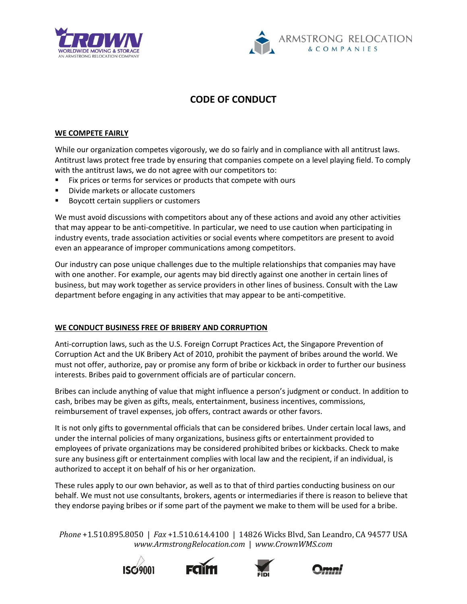



## **CODE OF CONDUCT**

## **WE COMPETE FAIRLY**

While our organization competes vigorously, we do so fairly and in compliance with all antitrust laws. Antitrust laws protect free trade by ensuring that companies compete on a level playing field. To comply with the antitrust laws, we do not agree with our competitors to:

- Fix prices or terms for services or products that compete with ours
- Divide markets or allocate customers
- Boycott certain suppliers or customers

We must avoid discussions with competitors about any of these actions and avoid any other activities that may appear to be anti-competitive. In particular, we need to use caution when participating in industry events, trade association activities or social events where competitors are present to avoid even an appearance of improper communications among competitors.

Our industry can pose unique challenges due to the multiple relationships that companies may have with one another. For example, our agents may bid directly against one another in certain lines of business, but may work together as service providers in other lines of business. Consult with the Law department before engaging in any activities that may appear to be anti-competitive.

## **WE CONDUCT BUSINESS FREE OF BRIBERY AND CORRUPTION**

Anti-corruption laws, such as the U.S. Foreign Corrupt Practices Act, the Singapore Prevention of Corruption Act and the UK Bribery Act of 2010, prohibit the payment of bribes around the world. We must not offer, authorize, pay or promise any form of bribe or kickback in order to further our business interests. Bribes paid to government officials are of particular concern.

Bribes can include anything of value that might influence a person's judgment or conduct. In addition to cash, bribes may be given as gifts, meals, entertainment, business incentives, commissions, reimbursement of travel expenses, job offers, contract awards or other favors.

It is not only gifts to governmental officials that can be considered bribes. Under certain local laws, and under the internal policies of many organizations, business gifts or entertainment provided to employees of private organizations may be considered prohibited bribes or kickbacks. Check to make sure any business gift or entertainment complies with local law and the recipient, if an individual, is authorized to accept it on behalf of his or her organization.

These rules apply to our own behavior, as well as to that of third parties conducting business on our behalf. We must not use consultants, brokers, agents or intermediaries if there is reason to believe that they endorse paying bribes or if some part of the payment we make to them will be used for a bribe.

*Phone* +1.510.895.8050 | *Fax* +1.510.614.4100 | 14826 Wicks Blvd, San Leandro, CA 94577 USA *www.ArmstrongRelocation.com* | *www.CrownWMS.com*